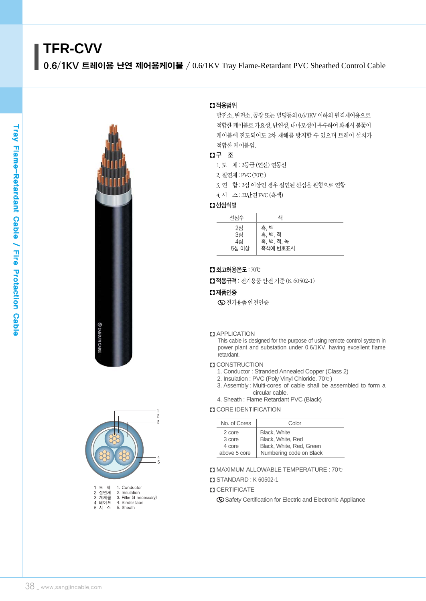# **TFR-CVV**

0.6/1KV 트레이용 난연 제어용케이블 / 0.6/1KV Tray Flame-Retardant PVC Sheathed Control Cable





| . ㅗ <i>^</i> | 1. UUNUUU                |
|--------------|--------------------------|
| 2. 절여체       | 2. Insulation            |
| 3. 개재물       | 3. Filler (if necessary) |
| 4. 테이프       | 4. Binder tape           |
| 5. 시 스       | 5. Sheath                |
|              |                          |

## � 적용범위

발전소, 변전소, 공장 또는 빌딩등의 0.6/1KV 이하의 원격제어용으로 적합한케이블로가요성, 난연성, 내마모성이우수하여화재시불꽃이 케이블에 전도되어도 2차 재해를 방지할 수 있으며 트레이 설치가 적합한 케이블임.

## � 구 조

- 1.도 체 : 2등급 (연선) 연동선
- 2.절연체 : PVC(70℃)
- 3.연 합 : 2심 이상인 경우 절연된 선심을 원형으로 연합
- 4.시 스 : 고난연PVC(흑색)

## � 선심식별

| 선심수                     | 색                                         |  |
|-------------------------|-------------------------------------------|--|
| 2심<br>3심<br>4심<br>5심 이상 | 흑, 백<br>흑, 백, 적<br>흑, 백, 적, 녹<br>흑색에 번호표시 |  |

## � 최고허용온도: 70℃

■ 적용규격 : 전기용품 안전 기준 (K 60502-1)

## � 제품인증

전기용품 안전인증

#### **Z** APPLICATION

This cable is designed for the purpose of using remote control system in power plant and substation under 0.6/1KV. having excellent flame retardant.

#### **D** CONSTRUCTION

- 1. Conductor : Stranded Annealed Copper (Class 2)
- 2. Insulation : PVC (Poly Vinyl Chloride. 70℃)
- 3. Assembly : Multi-cores of cable shall be assembled to form a circular cable.
- 4. Sheath : Flame Retardant PVC (Black)

## **CORE IDENTIFICATION**

| No. of Cores | Color                    |  |  |  |
|--------------|--------------------------|--|--|--|
| 2 core       | <b>Black. White</b>      |  |  |  |
| 3 core       | Black, White, Red        |  |  |  |
| 4 core       | Black, White, Red, Green |  |  |  |
| above 5 core | Numbering code on Black  |  |  |  |
|              |                          |  |  |  |

� MAXIMUM ALLOWABLE TEMPERATURE : 70℃

#### � STANDARD : K 60502-1

### **Z CERTIFICATE**

Safety Certification for Electric and Electronic Appliance